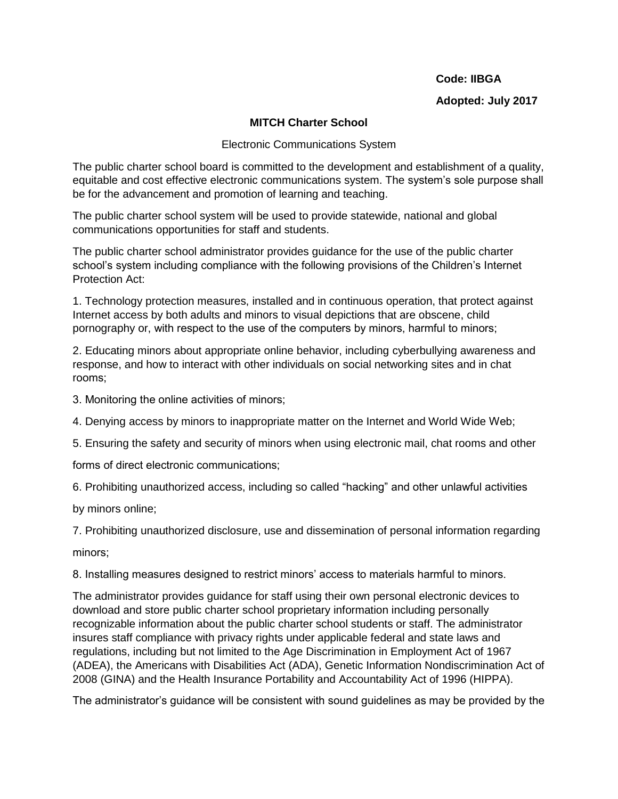#### **Code: IIBGA**

## **Adopted: July 2017**

## **MITCH Charter School**

#### Electronic Communications System

The public charter school board is committed to the development and establishment of a quality, equitable and cost effective electronic communications system. The system's sole purpose shall be for the advancement and promotion of learning and teaching.

The public charter school system will be used to provide statewide, national and global communications opportunities for staff and students.

The public charter school administrator provides guidance for the use of the public charter school's system including compliance with the following provisions of the Children's Internet Protection Act:

1. Technology protection measures, installed and in continuous operation, that protect against Internet access by both adults and minors to visual depictions that are obscene, child pornography or, with respect to the use of the computers by minors, harmful to minors;

2. Educating minors about appropriate online behavior, including cyberbullying awareness and response, and how to interact with other individuals on social networking sites and in chat rooms;

3. Monitoring the online activities of minors;

4. Denying access by minors to inappropriate matter on the Internet and World Wide Web;

5. Ensuring the safety and security of minors when using electronic mail, chat rooms and other

forms of direct electronic communications;

6. Prohibiting unauthorized access, including so called "hacking" and other unlawful activities

by minors online;

7. Prohibiting unauthorized disclosure, use and dissemination of personal information regarding

minors;

8. Installing measures designed to restrict minors' access to materials harmful to minors.

The administrator provides guidance for staff using their own personal electronic devices to download and store public charter school proprietary information including personally recognizable information about the public charter school students or staff. The administrator insures staff compliance with privacy rights under applicable federal and state laws and regulations, including but not limited to the Age Discrimination in Employment Act of 1967 (ADEA), the Americans with Disabilities Act (ADA), Genetic Information Nondiscrimination Act of 2008 (GINA) and the Health Insurance Portability and Accountability Act of 1996 (HIPPA).

The administrator's guidance will be consistent with sound guidelines as may be provided by the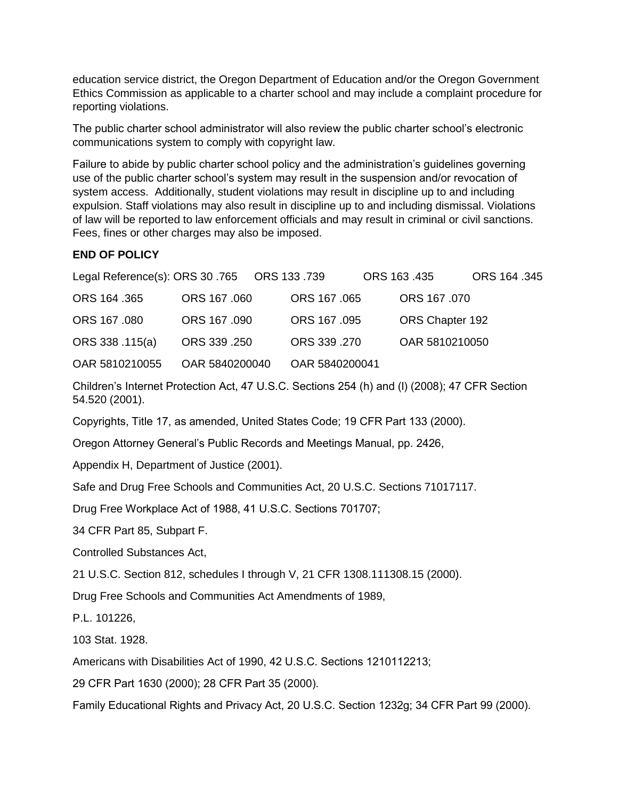education service district, the Oregon Department of Education and/or the Oregon Government Ethics Commission as applicable to a charter school and may include a complaint procedure for reporting violations.

The public charter school administrator will also review the public charter school's electronic communications system to comply with copyright law.

Failure to abide by public charter school policy and the administration's guidelines governing use of the public charter school's system may result in the suspension and/or revocation of system access. Additionally, student violations may result in discipline up to and including expulsion. Staff violations may also result in discipline up to and including dismissal. Violations of law will be reported to law enforcement officials and may result in criminal or civil sanctions. Fees, fines or other charges may also be imposed.

# **END OF POLICY**

|                 |                |                | ORS 163.435     | ORS 164 .345 |
|-----------------|----------------|----------------|-----------------|--------------|
| ORS 164 .365    | ORS 167 .060   | ORS 167 .065   | ORS 167 .070    |              |
| ORS 167 .080    | ORS 167 .090   | ORS 167 .095   | ORS Chapter 192 |              |
| ORS 338 .115(a) | ORS 339 .250   | ORS 339 .270   | OAR 5810210050  |              |
| OAR 5810210055  | OAR 5840200040 | OAR 5840200041 |                 |              |

Children's Internet Protection Act, 47 U.S.C. Sections 254 (h) and (l) (2008); 47 CFR Section 54.520 (2001).

Copyrights, Title 17, as amended, United States Code; 19 CFR Part 133 (2000).

Oregon Attorney General's Public Records and Meetings Manual, pp. 2426,

Appendix H, Department of Justice (2001).

Safe and Drug Free Schools and Communities Act, 20 U.S.C. Sections 71017117.

Drug Free Workplace Act of 1988, 41 U.S.C. Sections 701707;

34 CFR Part 85, Subpart F.

Controlled Substances Act,

21 U.S.C. Section 812, schedules I through V, 21 CFR 1308.111308.15 (2000).

Drug Free Schools and Communities Act Amendments of 1989,

P.L. 101226,

103 Stat. 1928.

Americans with Disabilities Act of 1990, 42 U.S.C. Sections 1210112213;

29 CFR Part 1630 (2000); 28 CFR Part 35 (2000).

Family Educational Rights and Privacy Act, 20 U.S.C. Section 1232g; 34 CFR Part 99 (2000).